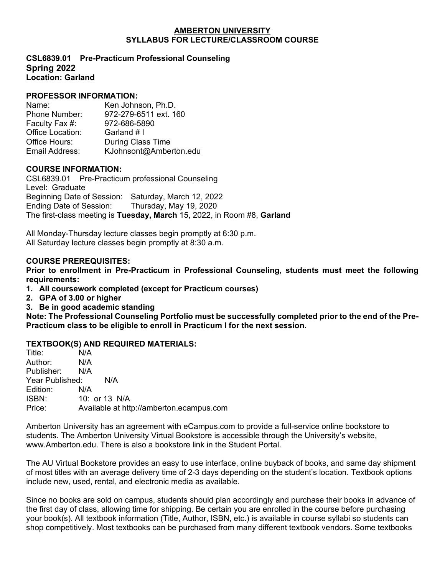#### **AMBERTON UNIVERSITY SYLLABUS FOR LECTURE/CLASSROOM COURSE**

**CSL6839.01 Pre-Practicum Professional Counseling Spring 2022 Location: Garland** 

# **PROFESSOR INFORMATION:**

Name: Ken Johnson, Ph.D. Phone Number: 972-279-6511 ext. 160<br>Faculty Fax #: 972-686-5890 Faculty Fax #: Office Location: Garland # I Office Hours: During Class Time<br>
Fmail Address: K.Johnsont@Ambe KJohnsont@Amberton.edu

### **COURSE INFORMATION:**

CSL6839.01Pre-Practicum professional Counseling Level: Graduate Beginning Date of Session: Saturday, March 12, 2022 Ending Date of Session: The first-class meeting is **Tuesday, March** 15, 2022, in Room #8, **Garland**

All Monday-Thursday lecture classes begin promptly at 6:30 p.m. All Saturday lecture classes begin promptly at 8:30 a.m.

### **COURSE PREREQUISITES:**

**Prior to enrollment in Pre-Practicum in Professional Counseling, students must meet the following requirements:**

**1. All coursework completed (except for Practicum courses)**

- **2. GPA of 3.00 or higher**
- **3. Be in good academic standing**

**Note: The Professional Counseling Portfolio must be successfully completed prior to the end of the Pre-Practicum class to be eligible to enroll in Practicum I for the next session.**

# **TEXTBOOK(S) AND REQUIRED MATERIALS:**

| Title:          | N/A                                      |
|-----------------|------------------------------------------|
| Author:         | N/A                                      |
| Publisher:      | N/A                                      |
| Year Published: | N/A                                      |
| Edition:        | N/A                                      |
| ISBN:           | 10: or 13 N/A                            |
| Price:          | Available at http://amberton.ecampus.com |
|                 |                                          |

Amberton University has an agreement with eCampus.com to provide a full-service online bookstore to students. The Amberton University Virtual Bookstore is accessible through the University's website, www.Amberton.edu. There is also a bookstore link in the Student Portal.

The AU Virtual Bookstore provides an easy to use interface, online buyback of books, and same day shipment of most titles with an average delivery time of 2-3 days depending on the student's location. Textbook options include new, used, rental, and electronic media as available.

Since no books are sold on campus, students should plan accordingly and purchase their books in advance of the first day of class, allowing time for shipping. Be certain you are enrolled in the course before purchasing your book(s). All textbook information (Title, Author, ISBN, etc.) is available in course syllabi so students can shop competitively. Most textbooks can be purchased from many different textbook vendors. Some textbooks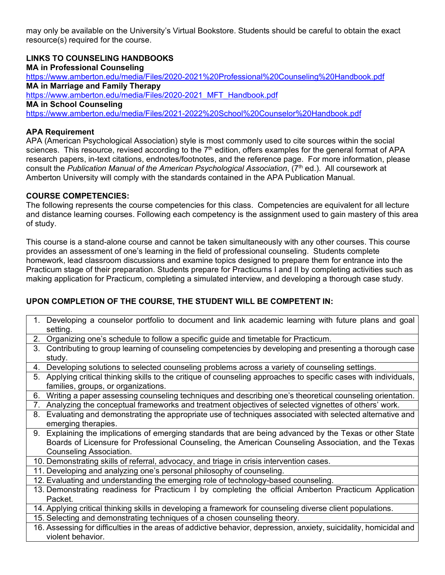may only be available on the University's Virtual Bookstore. Students should be careful to obtain the exact resource(s) required for the course.

**LINKS TO COUNSELING HANDBOOKS MA in Professional Counseling** <https://www.amberton.edu/media/Files/2020-2021%20Professional%20Counseling%20Handbook.pdf> **MA in Marriage and Family Therapy** [https://www.amberton.edu/media/Files/2020-2021\\_MFT\\_Handbook.pdf](https://www.amberton.edu/media/Files/2020-2021_MFT_Handbook.pdf) **MA in School Counseling** <https://www.amberton.edu/media/Files/2021-2022%20School%20Counselor%20Handbook.pdf>

# **APA Requirement**

APA (American Psychological Association) style is most commonly used to cite sources within the social sciences. This resource, revised according to the  $7<sup>th</sup>$  edition, offers examples for the general format of APA research papers, in-text citations, endnotes/footnotes, and the reference page. For more information, please consult the *Publication Manual of the American Psychological Association*, (7th ed.). All coursework at Amberton University will comply with the standards contained in the APA Publication Manual.

# **COURSE COMPETENCIES:**

The following represents the course competencies for this class. Competencies are equivalent for all lecture and distance learning courses. Following each competency is the assignment used to gain mastery of this area of study.

This course is a stand-alone course and cannot be taken simultaneously with any other courses. This course provides an assessment of one's learning in the field of professional counseling. Students complete homework, lead classroom discussions and examine topics designed to prepare them for entrance into the Practicum stage of their preparation. Students prepare for Practicums I and II by completing activities such as making application for Practicum, completing a simulated interview, and developing a thorough case study.

# **UPON COMPLETION OF THE COURSE, THE STUDENT WILL BE COMPETENT IN:**

1. Developing a counselor portfolio to document and link academic learning with future plans and goal setting. 2. Organizing one's schedule to follow a specific guide and timetable for Practicum. 3. Contributing to group learning of counseling competencies by developing and presenting a thorough case study. 4. Developing solutions to selected counseling problems across a variety of counseling settings. 5. Applying critical thinking skills to the critique of counseling approaches to specific cases with individuals, families, groups, or organizations. 6. Writing a paper assessing counseling techniques and describing one's theoretical counseling orientation. 7. Analyzing the conceptual frameworks and treatment objectives of selected vignettes of others' work. 8. Evaluating and demonstrating the appropriate use of techniques associated with selected alternative and emerging therapies. 9. Explaining the implications of emerging standards that are being advanced by the Texas or other State Boards of Licensure for Professional Counseling, the American Counseling Association, and the Texas Counseling Association. 10. Demonstrating skills of referral, advocacy, and triage in crisis intervention cases. 11. Developing and analyzing one's personal philosophy of counseling. 12. Evaluating and understanding the emerging role of technology-based counseling. 13. Demonstrating readiness for Practicum I by completing the official Amberton Practicum Application Packet. 14. Applying critical thinking skills in developing a framework for counseling diverse client populations. 15. Selecting and demonstrating techniques of a chosen counseling theory. 16. Assessing for difficulties in the areas of addictive behavior, depression, anxiety, suicidality, homicidal and violent behavior.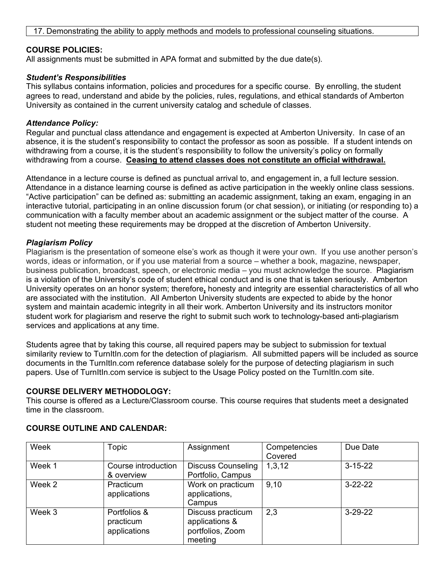## **COURSE POLICIES:**

All assignments must be submitted in APA format and submitted by the due date(s).

### *Student's Responsibilities*

This syllabus contains information, policies and procedures for a specific course. By enrolling, the student agrees to read, understand and abide by the policies, rules, regulations, and ethical standards of Amberton University as contained in the current university catalog and schedule of classes.

#### *Attendance Policy:*

Regular and punctual class attendance and engagement is expected at Amberton University. In case of an absence, it is the student's responsibility to contact the professor as soon as possible. If a student intends on withdrawing from a course, it is the student's responsibility to follow the university's policy on formally withdrawing from a course. **Ceasing to attend classes does not constitute an official withdrawal.**

Attendance in a lecture course is defined as punctual arrival to, and engagement in, a full lecture session. Attendance in a distance learning course is defined as active participation in the weekly online class sessions. "Active participation" can be defined as: submitting an academic assignment, taking an exam, engaging in an interactive tutorial, participating in an online discussion forum (or chat session), or initiating (or responding to) a communication with a faculty member about an academic assignment or the subject matter of the course. A student not meeting these requirements may be dropped at the discretion of Amberton University.

### *Plagiarism Policy*

Plagiarism is the presentation of someone else's work as though it were your own. If you use another person's words, ideas or information, or if you use material from a source – whether a book, magazine, newspaper, business publication, broadcast, speech, or electronic media – you must acknowledge the source. Plagiarism is a violation of the University's code of student ethical conduct and is one that is taken seriously. Amberton University operates on an honor system; therefore**,** honesty and integrity are essential characteristics of all who are associated with the institution. All Amberton University students are expected to abide by the honor system and maintain academic integrity in all their work. Amberton University and its instructors monitor student work for plagiarism and reserve the right to submit such work to technology-based anti-plagiarism services and applications at any time.

Students agree that by taking this course, all required papers may be subject to submission for textual similarity review to TurnItIn.com for the detection of plagiarism. All submitted papers will be included as source documents in the TurnItIn.com reference database solely for the purpose of detecting plagiarism in such papers. Use of TurnItIn.com service is subject to the Usage Policy posted on the TurnItIn.com site.

# **COURSE DELIVERY METHODOLOGY:**

This course is offered as a Lecture/Classroom course. This course requires that students meet a designated time in the classroom.

| Week   | Topic                                     | Assignment                                                         | Competencies<br>Covered | Due Date      |
|--------|-------------------------------------------|--------------------------------------------------------------------|-------------------------|---------------|
| Week 1 | Course introduction<br>& overview         | <b>Discuss Counseling</b><br>Portfolio, Campus                     | 1,3,12                  | $3 - 15 - 22$ |
| Week 2 | Practicum<br>applications                 | Work on practicum<br>applications,<br>Campus                       | 9,10                    | $3 - 22 - 22$ |
| Week 3 | Portfolios &<br>practicum<br>applications | Discuss practicum<br>applications &<br>portfolios, Zoom<br>meeting | 2,3                     | $3-29-22$     |

# **COURSE OUTLINE AND CALENDAR:**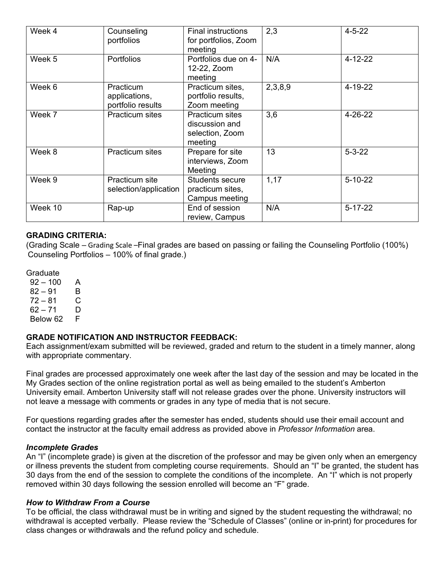| Week 4  | Counseling<br>portfolios                        | <b>Final instructions</b><br>for portfolios, Zoom<br>meeting           | 2,3     | $4 - 5 - 22$  |
|---------|-------------------------------------------------|------------------------------------------------------------------------|---------|---------------|
| Week 5  | <b>Portfolios</b>                               | Portfolios due on 4-<br>12-22, Zoom<br>meeting                         | N/A     | $4 - 12 - 22$ |
| Week 6  | Practicum<br>applications,<br>portfolio results | Practicum sites,<br>portfolio results,<br>Zoom meeting                 | 2,3,8,9 | 4-19-22       |
| Week 7  | <b>Practicum sites</b>                          | <b>Practicum sites</b><br>discussion and<br>selection, Zoom<br>meeting | 3,6     | $4 - 26 - 22$ |
| Week 8  | <b>Practicum sites</b>                          | Prepare for site<br>interviews, Zoom<br>Meeting                        | 13      | $5 - 3 - 22$  |
| Week 9  | Practicum site<br>selection/application         | <b>Students secure</b><br>practicum sites,<br>Campus meeting           | 1,17    | $5 - 10 - 22$ |
| Week 10 | Rap-up                                          | End of session<br>review, Campus                                       | N/A     | $5 - 17 - 22$ |

# **GRADING CRITERIA:**

(Grading Scale – Grading Scale –Final grades are based on passing or failing the Counseling Portfolio (100%) Counseling Portfolios – 100% of final grade.)

**Graduate** 

 $92 - 100$  A  $82 - 91$  B<br> $72 - 81$  C  $72 - 81$  $62 - 71$  D Below 62 F

# **GRADE NOTIFICATION AND INSTRUCTOR FEEDBACK:**

Each assignment/exam submitted will be reviewed, graded and return to the student in a timely manner, along with appropriate commentary.

Final grades are processed approximately one week after the last day of the session and may be located in the My Grades section of the online registration portal as well as being emailed to the student's Amberton University email. Amberton University staff will not release grades over the phone. University instructors will not leave a message with comments or grades in any type of media that is not secure.

For questions regarding grades after the semester has ended, students should use their email account and contact the instructor at the faculty email address as provided above in *Professor Information* area.

#### *Incomplete Grades*

An "I" (incomplete grade) is given at the discretion of the professor and may be given only when an emergency or illness prevents the student from completing course requirements. Should an "I" be granted, the student has 30 days from the end of the session to complete the conditions of the incomplete. An "I" which is not properly removed within 30 days following the session enrolled will become an "F" grade.

#### *How to Withdraw From a Course*

To be official, the class withdrawal must be in writing and signed by the student requesting the withdrawal; no withdrawal is accepted verbally. Please review the "Schedule of Classes" (online or in-print) for procedures for class changes or withdrawals and the refund policy and schedule.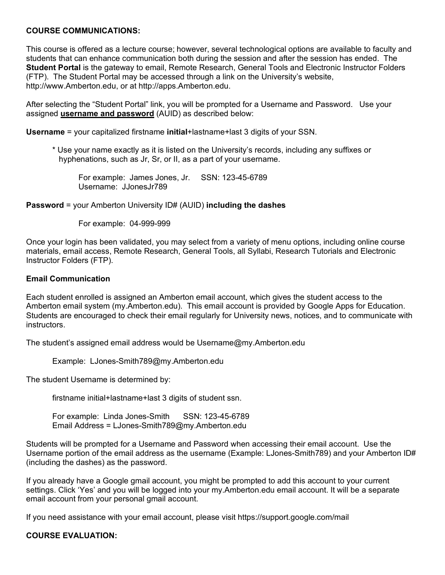# **COURSE COMMUNICATIONS:**

This course is offered as a lecture course; however, several technological options are available to faculty and students that can enhance communication both during the session and after the session has ended. The **Student Portal** is the gateway to email, Remote Research, General Tools and Electronic Instructor Folders (FTP). The Student Portal may be accessed through a link on the University's website, http://www.Amberton.edu, or at http://apps.Amberton.edu.

After selecting the "Student Portal" link, you will be prompted for a Username and Password. Use your assigned **username and password** (AUID) as described below:

**Username** = your capitalized firstname **initial**+lastname+last 3 digits of your SSN.

\* Use your name exactly as it is listed on the University's records, including any suffixes or hyphenations, such as Jr, Sr, or II, as a part of your username.

For example: James Jones, Jr. SSN: 123-45-6789 Username: JJonesJr789

**Password** = your Amberton University ID# (AUID) **including the dashes**

For example: 04-999-999

Once your login has been validated, you may select from a variety of menu options, including online course materials, email access, Remote Research, General Tools, all Syllabi, Research Tutorials and Electronic Instructor Folders (FTP).

#### **Email Communication**

Each student enrolled is assigned an Amberton email account, which gives the student access to the Amberton email system (my.Amberton.edu). This email account is provided by Google Apps for Education. Students are encouraged to check their email regularly for University news, notices, and to communicate with instructors.

The student's assigned email address would be Username@my.Amberton.edu

Example: LJones-Smith789@my.Amberton.edu

The student Username is determined by:

firstname initial+lastname+last 3 digits of student ssn.

For example: Linda Jones-Smith SSN: 123-45-6789 Email Address = LJones-Smith789@my.Amberton.edu

Students will be prompted for a Username and Password when accessing their email account. Use the Username portion of the email address as the username (Example: LJones-Smith789) and your Amberton ID# (including the dashes) as the password.

If you already have a Google gmail account, you might be prompted to add this account to your current settings. Click 'Yes' and you will be logged into your my.Amberton.edu email account. It will be a separate email account from your personal gmail account.

If you need assistance with your email account, please visit https://support.google.com/mail

#### **COURSE EVALUATION:**